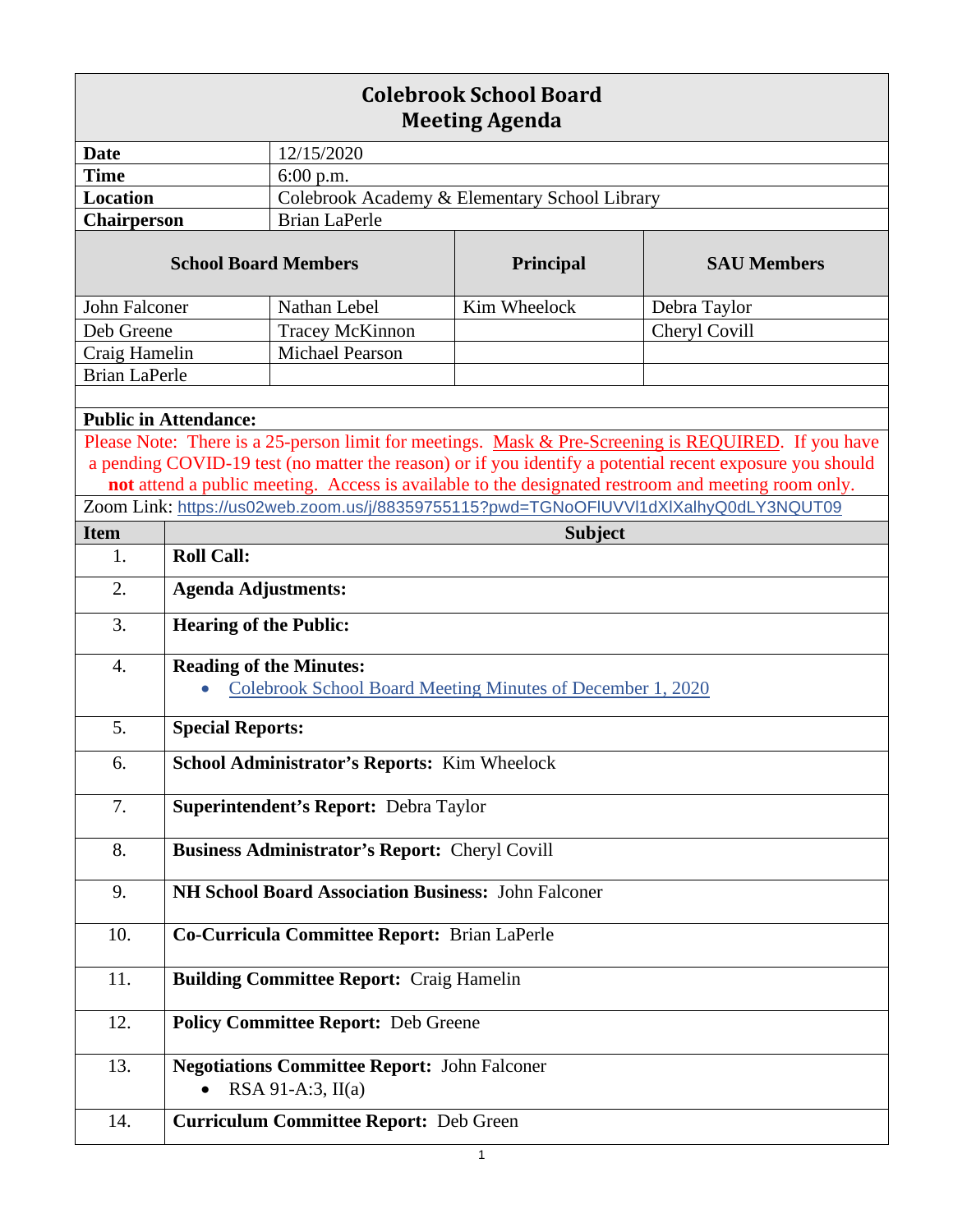| <b>Colebrook School Board</b><br><b>Meeting Agenda</b>                                              |                                                                                              |                                               |              |                                                                                                          |  |
|-----------------------------------------------------------------------------------------------------|----------------------------------------------------------------------------------------------|-----------------------------------------------|--------------|----------------------------------------------------------------------------------------------------------|--|
| <b>Date</b>                                                                                         |                                                                                              | 12/15/2020                                    |              |                                                                                                          |  |
| <b>Time</b>                                                                                         |                                                                                              | 6:00 p.m.                                     |              |                                                                                                          |  |
| <b>Location</b>                                                                                     |                                                                                              | Colebrook Academy & Elementary School Library |              |                                                                                                          |  |
| <b>Chairperson</b>                                                                                  |                                                                                              | <b>Brian LaPerle</b>                          |              |                                                                                                          |  |
| <b>School Board Members</b>                                                                         |                                                                                              |                                               | Principal    | <b>SAU Members</b>                                                                                       |  |
| John Falconer                                                                                       |                                                                                              | Nathan Lebel                                  | Kim Wheelock | Debra Taylor                                                                                             |  |
| Deb Greene                                                                                          |                                                                                              | <b>Tracey McKinnon</b>                        |              | Cheryl Covill                                                                                            |  |
| Craig Hamelin                                                                                       |                                                                                              | <b>Michael Pearson</b>                        |              |                                                                                                          |  |
| <b>Brian LaPerle</b>                                                                                |                                                                                              |                                               |              |                                                                                                          |  |
| <b>Public in Attendance:</b>                                                                        |                                                                                              |                                               |              |                                                                                                          |  |
| Please Note: There is a 25-person limit for meetings. Mask & Pre-Screening is REQUIRED. If you have |                                                                                              |                                               |              |                                                                                                          |  |
|                                                                                                     |                                                                                              |                                               |              | a pending COVID-19 test (no matter the reason) or if you identify a potential recent exposure you should |  |
|                                                                                                     |                                                                                              |                                               |              | not attend a public meeting. Access is available to the designated restroom and meeting room only.       |  |
|                                                                                                     |                                                                                              |                                               |              | Zoom Link: https://us02web.zoom.us/j/88359755115?pwd=TGNoOFIUVVI1dXIXalhyQ0dLY3NQUT09                    |  |
| <b>Item</b>                                                                                         | <b>Subject</b>                                                                               |                                               |              |                                                                                                          |  |
| 1.                                                                                                  | <b>Roll Call:</b>                                                                            |                                               |              |                                                                                                          |  |
| 2.                                                                                                  | <b>Agenda Adjustments:</b>                                                                   |                                               |              |                                                                                                          |  |
| 3.                                                                                                  | <b>Hearing of the Public:</b>                                                                |                                               |              |                                                                                                          |  |
| $\overline{4}$ .                                                                                    | <b>Reading of the Minutes:</b><br>Colebrook School Board Meeting Minutes of December 1, 2020 |                                               |              |                                                                                                          |  |
| 5.                                                                                                  | <b>Special Reports:</b>                                                                      |                                               |              |                                                                                                          |  |
| 6.                                                                                                  | School Administrator's Reports: Kim Wheelock                                                 |                                               |              |                                                                                                          |  |
| 7.                                                                                                  | Superintendent's Report: Debra Taylor                                                        |                                               |              |                                                                                                          |  |
| 8.                                                                                                  | <b>Business Administrator's Report: Cheryl Covill</b>                                        |                                               |              |                                                                                                          |  |
| 9.                                                                                                  | NH School Board Association Business: John Falconer                                          |                                               |              |                                                                                                          |  |
| 10.                                                                                                 |                                                                                              |                                               |              |                                                                                                          |  |
|                                                                                                     | Co-Curricula Committee Report: Brian LaPerle                                                 |                                               |              |                                                                                                          |  |
| 11.                                                                                                 | <b>Building Committee Report: Craig Hamelin</b>                                              |                                               |              |                                                                                                          |  |
| 12.                                                                                                 | <b>Policy Committee Report: Deb Greene</b>                                                   |                                               |              |                                                                                                          |  |
| 13.                                                                                                 | <b>Negotiations Committee Report: John Falconer</b><br>RSA 91-A:3, $II(a)$                   |                                               |              |                                                                                                          |  |
| 14.                                                                                                 |                                                                                              | <b>Curriculum Committee Report: Deb Green</b> |              |                                                                                                          |  |